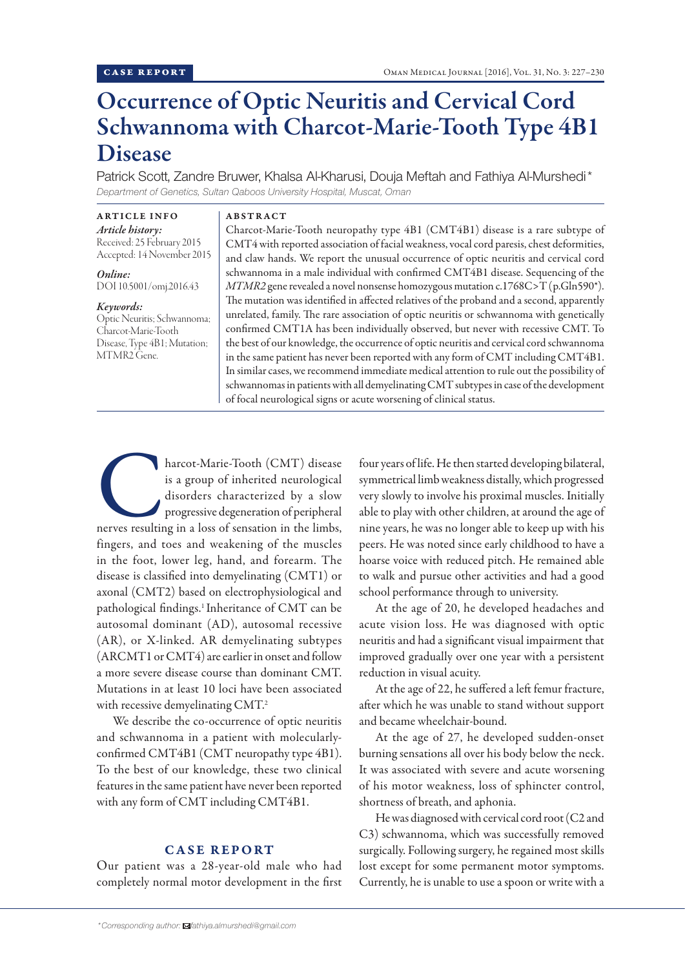# Occurrence of Optic Neuritis and Cervical Cord Schwannoma with Charcot-Marie-Tooth Type 4B1 Disease

Patrick Scott, Zandre Bruwer, Khalsa Al-Kharusi, Douja Meftah and Fathiya Al-Murshedi\* *Department of Genetics, Sultan Qaboos University Hospital, Muscat, Oman*

ARTICLE INFO *Article history:* Received: 25 February 2015 Accepted: 14 November 2015

*Online:* DOI 10.5001/omj.2016.43

#### *Keywords:*

Optic Neuritis; Schwannoma; Charcot-Marie-Tooth Disease, Type 4B1; Mutation; MTMR2 Gene.

### ABSTRACT

Charcot-Marie-Tooth neuropathy type 4B1 (CMT4B1) disease is a rare subtype of CMT4 with reported association of facial weakness, vocal cord paresis, chest deformities, and claw hands. We report the unusual occurrence of optic neuritis and cervical cord schwannoma in a male individual with confirmed CMT4B1 disease. Sequencing of the *MTMR2* gene revealed a novel nonsense homozygous mutation c.1768C>T (p.Gln590\*). The mutation was identified in affected relatives of the proband and a second, apparently unrelated, family. The rare association of optic neuritis or schwannoma with genetically confirmed CMT1A has been individually observed, but never with recessive CMT. To the best of our knowledge, the occurrence of optic neuritis and cervical cord schwannoma in the same patient has never been reported with any form of CMT including CMT4B1. In similar cases, we recommend immediate medical attention to rule out the possibility of schwannomas in patients with all demyelinating CMT subtypes in case of the development of focal neurological signs or acute worsening of clinical status.

harcot-Marie-Tooth (CMT) disease<br>
is a group of inherited neurological<br>
disorders characterized by a slow<br>
progressive degeneration of peripheral<br>
nerves resulting in a loss of sensation in the limbs, is a group of inherited neurological disorders characterized by a slow progressive degeneration of peripheral fingers, and toes and weakening of the muscles in the foot, lower leg, hand, and forearm. The disease is classified into demyelinating (CMT1) or axonal (CMT2) based on electrophysiological and pathological findings.<sup>1</sup> Inheritance of CMT can be autosomal dominant (AD), autosomal recessive (AR), or X-linked. AR demyelinating subtypes (ARCMT1 or CMT4) are earlier in onset and follow a more severe disease course than dominant CMT. Mutations in at least 10 loci have been associated with recessive demyelinating CMT.<sup>2</sup>

We describe the co-occurrence of optic neuritis and schwannoma in a patient with molecularlyconfirmed CMT4B1 (CMT neuropathy type 4B1). To the best of our knowledge, these two clinical features in the same patient have never been reported with any form of CMT including CMT4B1.

# CASE REPORT

Our patient was a 28-year-old male who had completely normal motor development in the first

four years of life. He then started developing bilateral, symmetrical limb weakness distally, which progressed very slowly to involve his proximal muscles. Initially able to play with other children, at around the age of nine years, he was no longer able to keep up with his peers. He was noted since early childhood to have a hoarse voice with reduced pitch. He remained able to walk and pursue other activities and had a good school performance through to university.

At the age of 20, he developed headaches and acute vision loss. He was diagnosed with optic neuritis and had a significant visual impairment that improved gradually over one year with a persistent reduction in visual acuity.

At the age of 22, he suffered a left femur fracture, after which he was unable to stand without support and became wheelchair-bound.

At the age of 27, he developed sudden-onset burning sensations all over his body below the neck. It was associated with severe and acute worsening of his motor weakness, loss of sphincter control, shortness of breath, and aphonia.

He was diagnosed with cervical cord root (C2 and C3) schwannoma, which was successfully removed surgically. Following surgery, he regained most skills lost except for some permanent motor symptoms. Currently, he is unable to use a spoon or write with a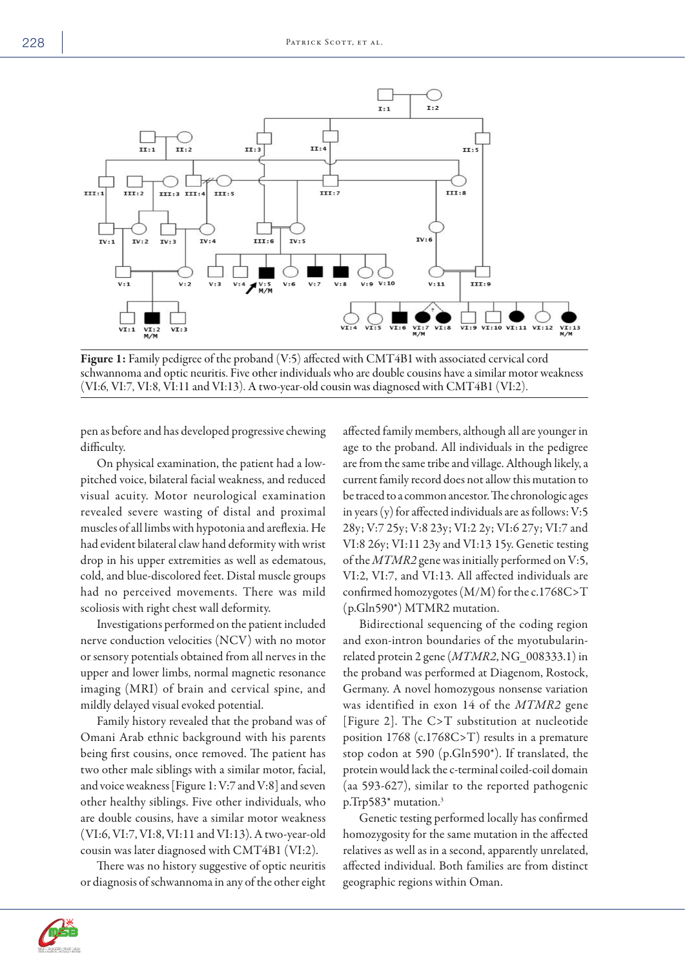

Figure 1: Family pedigree of the proband (V:5) affected with CMT4B1 with associated cervical cord schwannoma and optic neuritis. Five other individuals who are double cousins have a similar motor weakness (VI:6, VI:7, VI:8, VI:11 and VI:13). A two-year-old cousin was diagnosed with CMT4B1 (VI:2).

pen as before and has developed progressive chewing difficulty.

On physical examination, the patient had a lowpitched voice, bilateral facial weakness, and reduced visual acuity. Motor neurological examination revealed severe wasting of distal and proximal muscles of all limbs with hypotonia and areflexia. He had evident bilateral claw hand deformity with wrist drop in his upper extremities as well as edematous, cold, and blue-discolored feet. Distal muscle groups had no perceived movements. There was mild scoliosis with right chest wall deformity.

Investigations performed on the patient included nerve conduction velocities (NCV) with no motor or sensory potentials obtained from all nerves in the upper and lower limbs, normal magnetic resonance imaging (MRI) of brain and cervical spine, and mildly delayed visual evoked potential.

Family history revealed that the proband was of Omani Arab ethnic background with his parents being first cousins, once removed. The patient has two other male siblings with a similar motor, facial, and voice weakness [Figure 1: V:7 and V:8] and seven other healthy siblings. Five other individuals, who are double cousins, have a similar motor weakness (VI:6, VI:7, VI:8, VI:11 and VI:13). A two-year-old cousin was later diagnosed with CMT4B1 (VI:2).

There was no history suggestive of optic neuritis or diagnosis of schwannoma in any of the other eight affected family members, although all are younger in age to the proband. All individuals in the pedigree are from the same tribe and village. Although likely, a current family record does not allow this mutation to be traced to a common ancestor. The chronologic ages in years (y) for affected individuals are as follows: V:5 28y; V:7 25y; V:8 23y; VI:2 2y; VI:6 27y; VI:7 and VI:8 26y; VI:11 23y and VI:13 15y. Genetic testing of the *MTMR2* gene was initially performed on V:5, VI:2, VI:7, and VI:13. All affected individuals are confirmed homozygotes (M/M) for the c.1768C>T (p.Gln590\*) MTMR2 mutation.

Bidirectional sequencing of the coding region and exon-intron boundaries of the myotubularinrelated protein 2 gene (*MTMR2*, NG\_008333.1) in the proband was performed at Diagenom, Rostock, Germany. A novel homozygous nonsense variation was identified in exon 14 of the *MTMR2* gene [Figure 2]. The C>T substitution at nucleotide position 1768 (c.1768C>T) results in a premature stop codon at 590 (p.Gln590\*). If translated, the protein would lack the c-terminal coiled-coil domain (aa 593-627), similar to the reported pathogenic p.Trp583\* mutation.3

Genetic testing performed locally has confirmed homozygosity for the same mutation in the affected relatives as well as in a second, apparently unrelated, affected individual. Both families are from distinct geographic regions within Oman.

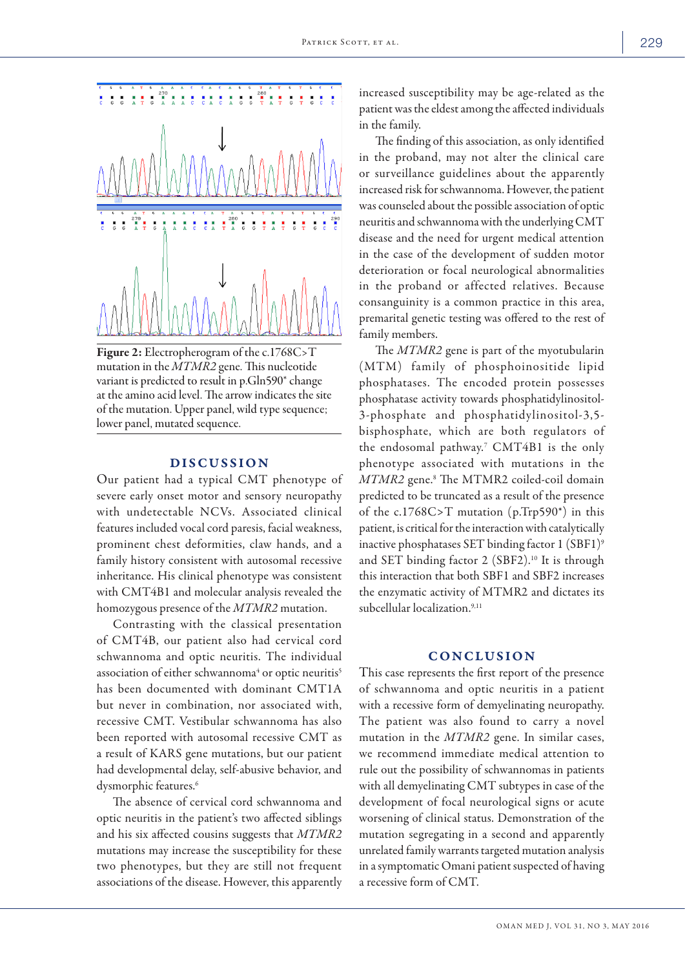

Figure 2: Electropherogram of the c.1768C>T mutation in the *MTMR2* gene. This nucleotide variant is predicted to result in p.Gln590\* change at the amino acid level. The arrow indicates the site of the mutation. Upper panel, wild type sequence; lower panel, mutated sequence.

## DISCUSSION

Our patient had a typical CMT phenotype of severe early onset motor and sensory neuropathy with undetectable NCVs. Associated clinical features included vocal cord paresis, facial weakness, prominent chest deformities, claw hands, and a family history consistent with autosomal recessive inheritance. His clinical phenotype was consistent with CMT4B1 and molecular analysis revealed the homozygous presence of the *MTMR2* mutation.

Contrasting with the classical presentation of CMT4B, our patient also had cervical cord schwannoma and optic neuritis. The individual association of either schwannoma<sup>4</sup> or optic neuritis<sup>5</sup> has been documented with dominant CMT1A but never in combination, nor associated with, recessive CMT. Vestibular schwannoma has also been reported with autosomal recessive CMT as a result of KARS gene mutations, but our patient had developmental delay, self-abusive behavior, and dysmorphic features.<sup>6</sup>

The absence of cervical cord schwannoma and optic neuritis in the patient's two affected siblings and his six affected cousins suggests that *MTMR2* mutations may increase the susceptibility for these two phenotypes, but they are still not frequent associations of the disease. However, this apparently increased susceptibility may be age-related as the patient was the eldest among the affected individuals in the family.

The finding of this association, as only identified in the proband, may not alter the clinical care or surveillance guidelines about the apparently increased risk for schwannoma. However, the patient was counseled about the possible association of optic neuritis and schwannoma with the underlying CMT disease and the need for urgent medical attention in the case of the development of sudden motor deterioration or focal neurological abnormalities in the proband or affected relatives. Because consanguinity is a common practice in this area, premarital genetic testing was offered to the rest of family members.

The *MTMR2* gene is part of the myotubularin (MTM) family of phosphoinositide lipid phosphatases. The encoded protein possesses phosphatase activity towards phosphatidylinositol-3-phosphate and phosphatidylinositol-3,5 bisphosphate, which are both regulators of the endosomal pathway.7 CMT4B1 is the only phenotype associated with mutations in the *MTMR2* gene.8 The MTMR2 coiled-coil domain predicted to be truncated as a result of the presence of the c.1768C>T mutation (p.Trp590\*) in this patient, is critical for the interaction with catalytically inactive phosphatases SET binding factor 1 (SBF1)9 and SET binding factor 2 (SBF2).10 It is through this interaction that both SBF1 and SBF2 increases the enzymatic activity of MTMR2 and dictates its subcellular localization.<sup>9,11</sup>

## CONCLUSION

This case represents the first report of the presence of schwannoma and optic neuritis in a patient with a recessive form of demyelinating neuropathy. The patient was also found to carry a novel mutation in the *MTMR2* gene. In similar cases, we recommend immediate medical attention to rule out the possibility of schwannomas in patients with all demyelinating CMT subtypes in case of the development of focal neurological signs or acute worsening of clinical status. Demonstration of the mutation segregating in a second and apparently unrelated family warrants targeted mutation analysis in a symptomatic Omani patient suspected of having a recessive form of CMT.